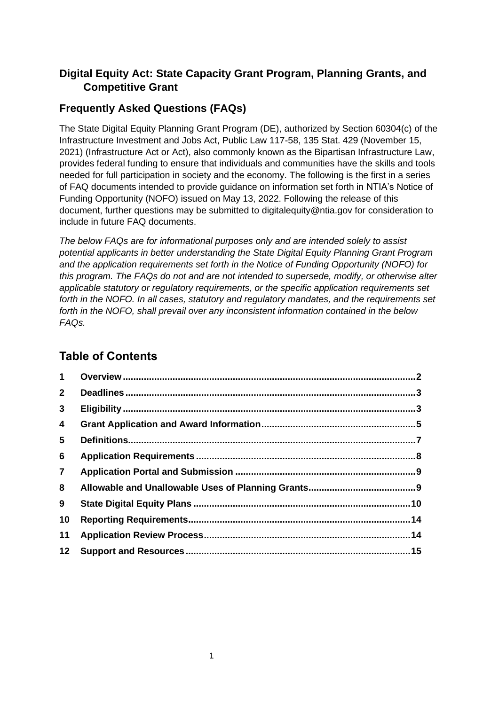## **Digital Equity Act: State Capacity Grant Program, Planning Grants, and Competitive Grant**

## **Frequently Asked Questions (FAQs)**

The State Digital Equity Planning Grant Program (DE), authorized by Section 60304(c) of the Infrastructure Investment and Jobs Act, Public Law 117-58, 135 Stat. 429 (November 15, 2021) (Infrastructure Act or Act), also commonly known as the Bipartisan Infrastructure Law, provides federal funding to ensure that individuals and communities have the skills and tools needed for full participation in society and the economy. The following is the first in a series of FAQ documents intended to provide guidance on information set forth in NTIA's Notice of Funding Opportunity (NOFO) issued on May 13, 2022. Following the release of this document, further questions may be submitted to digitalequity@ntia.gov for consideration to include in future FAQ documents.

*The below FAQs are for informational purposes only and are intended solely to assist potential applicants in better understanding the State Digital Equity Planning Grant Program and the application requirements set forth in the Notice of Funding Opportunity (NOFO) for this program. The FAQs do not and are not intended to supersede, modify, or otherwise alter applicable statutory or regulatory requirements, or the specific application requirements set forth in the NOFO. In all cases, statutory and regulatory mandates, and the requirements set forth in the NOFO, shall prevail over any inconsistent information contained in the below FAQs.* 

# **Table of Contents**

<span id="page-0-0"></span>

| $1 \quad$       |  |
|-----------------|--|
| $\mathbf{2}$    |  |
| $\mathbf{3}$    |  |
| 4               |  |
| 5               |  |
| 6               |  |
| $\overline{7}$  |  |
| 8               |  |
| 9               |  |
| 10              |  |
| 11              |  |
| 12 <sub>2</sub> |  |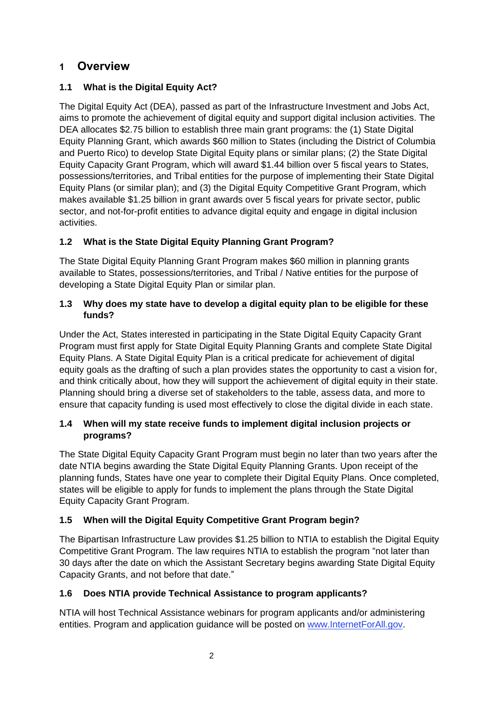## **1 Overview**

### **1.1 What is the Digital Equity Act?**

The Digital Equity Act (DEA), passed as part of the Infrastructure Investment and Jobs Act, aims to promote the achievement of digital equity and support digital inclusion activities. The DEA allocates \$2.75 billion to establish three main grant programs: the (1) State Digital Equity Planning Grant, which awards \$60 million to States (including the District of Columbia and Puerto Rico) to develop State Digital Equity plans or similar plans; (2) the State Digital Equity Capacity Grant Program, which will award \$1.44 billion over 5 fiscal years to States, possessions/territories, and Tribal entities for the purpose of implementing their State Digital Equity Plans (or similar plan); and (3) the Digital Equity Competitive Grant Program, which makes available \$1.25 billion in grant awards over 5 fiscal years for private sector, public sector, and not-for-profit entities to advance digital equity and engage in digital inclusion activities.

### **1.2 What is the State Digital Equity Planning Grant Program?**

The State Digital Equity Planning Grant Program makes \$60 million in planning grants available to States, possessions/territories, and Tribal / Native entities for the purpose of developing a State Digital Equity Plan or similar plan.

### **1.3 Why does my state have to develop a digital equity plan to be eligible for these funds?**

Under the Act, States interested in participating in the State Digital Equity Capacity Grant Program must first apply for State Digital Equity Planning Grants and complete State Digital Equity Plans. A State Digital Equity Plan is a critical predicate for achievement of digital equity goals as the drafting of such a plan provides states the opportunity to cast a vision for, and think critically about, how they will support the achievement of digital equity in their state. Planning should bring a diverse set of stakeholders to the table, assess data, and more to ensure that capacity funding is used most effectively to close the digital divide in each state.

### **1.4 When will my state receive funds to implement digital inclusion projects or programs?**

The State Digital Equity Capacity Grant Program must begin no later than two years after the date NTIA begins awarding the State Digital Equity Planning Grants. Upon receipt of the planning funds, States have one year to complete their Digital Equity Plans. Once completed, states will be eligible to apply for funds to implement the plans through the State Digital Equity Capacity Grant Program.

### **1.5 When will the Digital Equity Competitive Grant Program begin?**

The Bipartisan Infrastructure Law provides \$1.25 billion to NTIA to establish the Digital Equity Competitive Grant Program. The law requires NTIA to establish the program "not later than 30 days after the date on which the Assistant Secretary begins awarding State Digital Equity Capacity Grants, and not before that date."

### **1.6 Does NTIA provide Technical Assistance to program applicants?**

NTIA will host Technical Assistance webinars for program applicants and/or administering entities. Program and application guidance will be posted on [www.InternetForAll.gov.](http://www.internetforall.gov/)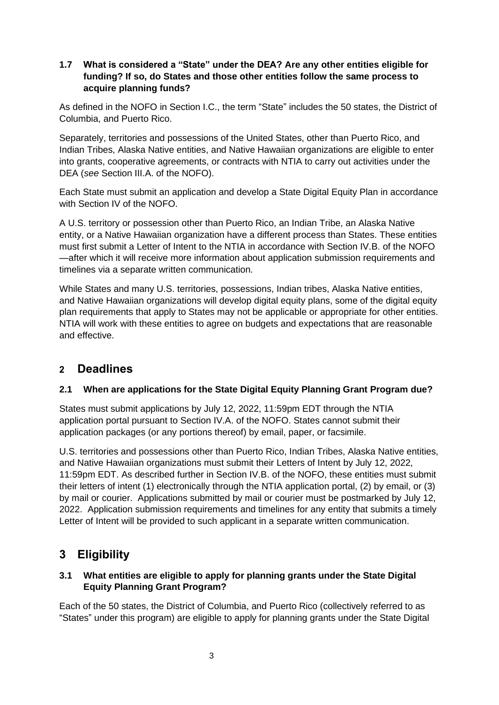### **1.7 What is considered a "State" under the DEA? Are any other entities eligible for funding? If so, do States and those other entities follow the same process to acquire planning funds?**

As defined in the NOFO in Section I.C., the term "State" includes the 50 states, the District of Columbia, and Puerto Rico.

Separately, territories and possessions of the United States, other than Puerto Rico, and Indian Tribes, Alaska Native entities, and Native Hawaiian organizations are eligible to enter into grants, cooperative agreements, or contracts with NTIA to carry out activities under the DEA (*see* Section III.A. of the NOFO).

Each State must submit an application and develop a State Digital Equity Plan in accordance with Section IV of the NOFO.

A U.S. territory or possession other than Puerto Rico, an Indian Tribe, an Alaska Native entity, or a Native Hawaiian organization have a different process than States. These entities must first submit a Letter of Intent to the NTIA in accordance with Section IV.B. of the NOFO —after which it will receive more information about application submission requirements and timelines via a separate written communication.

While States and many U.S. territories, possessions, Indian tribes, Alaska Native entities, and Native Hawaiian organizations will develop digital equity plans, some of the digital equity plan requirements that apply to States may not be applicable or appropriate for other entities. NTIA will work with these entities to agree on budgets and expectations that are reasonable and effective.

## <span id="page-2-0"></span>**2 Deadlines**

### **2.1 When are applications for the State Digital Equity Planning Grant Program due?**

States must submit applications by July 12, 2022, 11:59pm EDT through the NTIA application portal pursuant to Section IV.A. of the NOFO. States cannot submit their application packages (or any portions thereof) by email, paper, or facsimile.

U.S. territories and possessions other than Puerto Rico, Indian Tribes, Alaska Native entities, and Native Hawaiian organizations must submit their Letters of Intent by July 12, 2022, 11:59pm EDT. As described further in Section IV.B. of the NOFO, these entities must submit their letters of intent (1) electronically through the NTIA application portal, (2) by email, or (3) by mail or courier. Applications submitted by mail or courier must be postmarked by July 12, 2022. Application submission requirements and timelines for any entity that submits a timely Letter of Intent will be provided to such applicant in a separate written communication.

# <span id="page-2-1"></span>**3 Eligibility**

### **3.1 What entities are eligible to apply for planning grants under the State Digital Equity Planning Grant Program?**

Each of the 50 states, the District of Columbia, and Puerto Rico (collectively referred to as "States" under this program) are eligible to apply for planning grants under the State Digital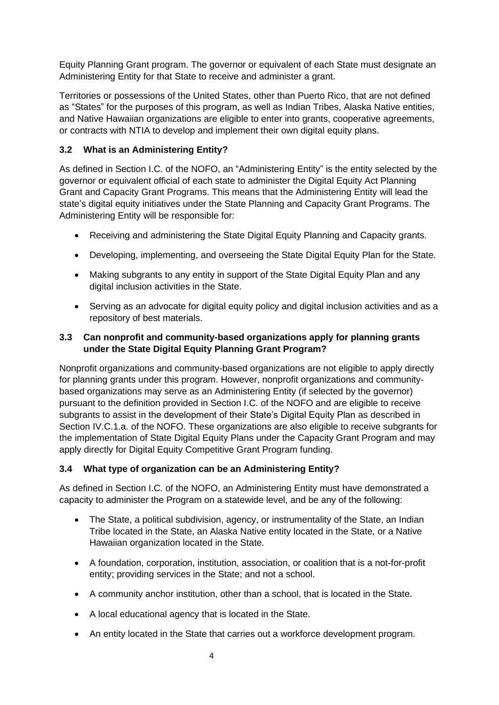Equity Planning Grant program. The governor or equivalent of each State must designate an Administering Entity for that State to receive and administer a grant.

Territories or possessions of the United States, other than Puerto Rico, that are not defined as "States" for the purposes of this program, as well as Indian Tribes, Alaska Native entities, and Native Hawaiian organizations are eligible to enter into grants, cooperative agreements, or contracts with NTIA to develop and implement their own digital equity plans.

### **3.2 What is an Administering Entity?**

As defined in Section I.C. of the NOFO, an "Administering Entity" is the entity selected by the governor or equivalent official of each state to administer the Digital Equity Act Planning Grant and Capacity Grant Programs. This means that the Administering Entity will lead the state's digital equity initiatives under the State Planning and Capacity Grant Programs. The Administering Entity will be responsible for:

- Receiving and administering the State Digital Equity Planning and Capacity grants.
- Developing, implementing, and overseeing the State Digital Equity Plan for the State.
- Making subgrants to any entity in support of the State Digital Equity Plan and any digital inclusion activities in the State.
- Serving as an advocate for digital equity policy and digital inclusion activities and as a repository of best materials.

### **3.3 Can nonprofit and community-based organizations apply for planning grants under the State Digital Equity Planning Grant Program?**

Nonprofit organizations and community-based organizations are not eligible to apply directly for planning grants under this program. However, nonprofit organizations and communitybased organizations may serve as an Administering Entity (if selected by the governor) pursuant to the definition provided in Section I.C. of the NOFO and are eligible to receive subgrants to assist in the development of their State's Digital Equity Plan as described in Section IV.C.1.a. of the NOFO. These organizations are also eligible to receive subgrants for the implementation of State Digital Equity Plans under the Capacity Grant Program and may apply directly for Digital Equity Competitive Grant Program funding.

### **3.4 What type of organization can be an Administering Entity?**

As defined in Section I.C. of the NOFO, an Administering Entity must have demonstrated a capacity to administer the Program on a statewide level, and be any of the following:

- The State, a political subdivision, agency, or instrumentality of the State, an Indian Tribe located in the State, an Alaska Native entity located in the State, or a Native Hawaiian organization located in the State.
- A foundation, corporation, institution, association, or coalition that is a not-for-profit entity; providing services in the State; and not a school.
- A community anchor institution, other than a school, that is located in the State.
- A local educational agency that is located in the State.
- An entity located in the State that carries out a workforce development program.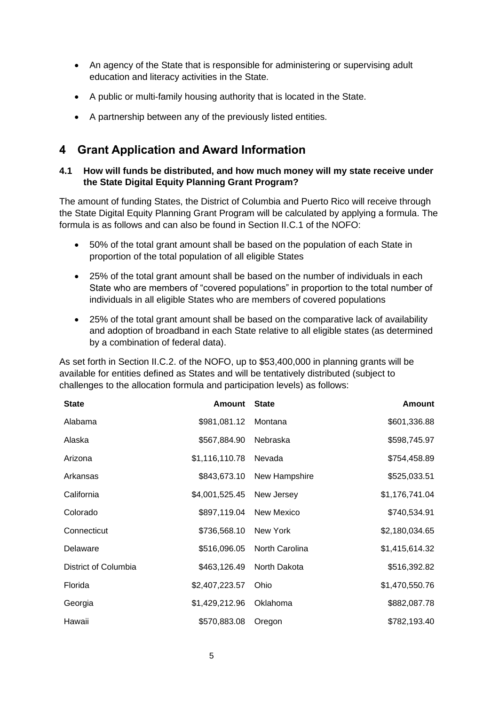- An agency of the State that is responsible for administering or supervising adult education and literacy activities in the State.
- A public or multi-family housing authority that is located in the State.
- A partnership between any of the previously listed entities.

## <span id="page-4-0"></span>**4 Grant Application and Award Information**

### **4.1 How will funds be distributed, and how much money will my state receive under the State Digital Equity Planning Grant Program?**

The amount of funding States, the District of Columbia and Puerto Rico will receive through the State Digital Equity Planning Grant Program will be calculated by applying a formula. The formula is as follows and can also be found in Section II.C.1 of the NOFO:

- 50% of the total grant amount shall be based on the population of each State in proportion of the total population of all eligible States
- 25% of the total grant amount shall be based on the number of individuals in each State who are members of "covered populations" in proportion to the total number of individuals in all eligible States who are members of covered populations
- 25% of the total grant amount shall be based on the comparative lack of availability and adoption of broadband in each State relative to all eligible states (as determined by a combination of federal data).

As set forth in Section II.C.2. of the NOFO, up to \$53,400,000 in planning grants will be available for entities defined as States and will be tentatively distributed (subject to challenges to the allocation formula and participation levels) as follows:

| <b>State</b>         | <b>Amount State</b>     |                | <b>Amount</b>  |
|----------------------|-------------------------|----------------|----------------|
| Alabama              | \$981,081.12 Montana    |                | \$601,336.88   |
| Alaska               | \$567,884.90            | Nebraska       | \$598,745.97   |
| Arizona              | \$1,116,110.78          | Nevada         | \$754,458.89   |
| Arkansas             | \$843,673.10            | New Hampshire  | \$525,033.51   |
| California           | \$4,001,525.45          | New Jersey     | \$1,176,741.04 |
| Colorado             | \$897,119.04 New Mexico |                | \$740,534.91   |
| Connecticut          | \$736,568.10            | New York       | \$2,180,034.65 |
| Delaware             | \$516,096.05            | North Carolina | \$1,415,614.32 |
| District of Columbia | \$463,126.49            | North Dakota   | \$516,392.82   |
| Florida              | \$2,407,223.57          | Ohio           | \$1,470,550.76 |
| Georgia              | \$1,429,212.96          | Oklahoma       | \$882,087.78   |
| Hawaii               | \$570,883.08            | Oregon         | \$782,193.40   |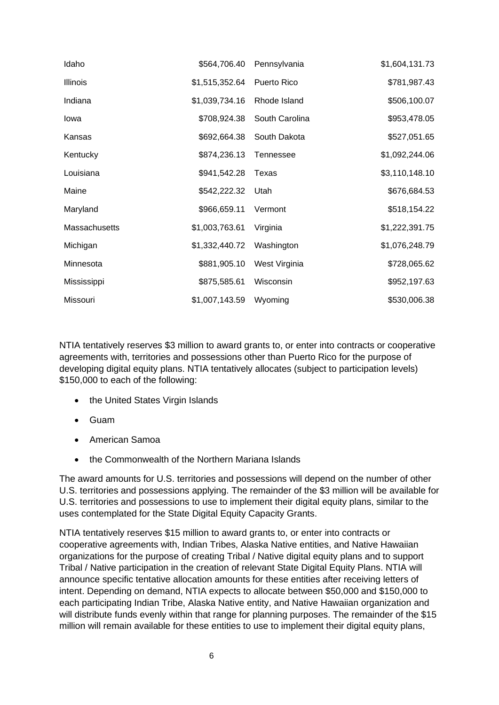| Idaho           | \$564,706.40   | Pennsylvania   | \$1,604,131.73 |
|-----------------|----------------|----------------|----------------|
| <b>Illinois</b> | \$1,515,352.64 | Puerto Rico    | \$781,987.43   |
| Indiana         | \$1,039,734.16 | Rhode Island   | \$506,100.07   |
| Iowa            | \$708,924.38   | South Carolina | \$953,478.05   |
| Kansas          | \$692,664.38   | South Dakota   | \$527,051.65   |
| Kentucky        | \$874,236.13   | Tennessee      | \$1,092,244.06 |
| Louisiana       | \$941,542.28   | Texas          | \$3,110,148.10 |
| Maine           | \$542,222.32   | Utah           | \$676,684.53   |
| Maryland        | \$966,659.11   | Vermont        | \$518,154.22   |
| Massachusetts   | \$1,003,763.61 | Virginia       | \$1,222,391.75 |
| Michigan        | \$1,332,440.72 | Washington     | \$1,076,248.79 |
| Minnesota       | \$881,905.10   | West Virginia  | \$728,065.62   |
| Mississippi     | \$875,585.61   | Wisconsin      | \$952,197.63   |
| Missouri        | \$1,007,143.59 | Wyoming        | \$530,006.38   |

NTIA tentatively reserves \$3 million to award grants to, or enter into contracts or cooperative agreements with, territories and possessions other than Puerto Rico for the purpose of developing digital equity plans. NTIA tentatively allocates (subject to participation levels) \$150,000 to each of the following:

- the United States Virgin Islands
- Guam
- American Samoa
- the Commonwealth of the Northern Mariana Islands

The award amounts for U.S. territories and possessions will depend on the number of other U.S. territories and possessions applying. The remainder of the \$3 million will be available for U.S. territories and possessions to use to implement their digital equity plans, similar to the uses contemplated for the State Digital Equity Capacity Grants.

NTIA tentatively reserves \$15 million to award grants to, or enter into contracts or cooperative agreements with, Indian Tribes, Alaska Native entities, and Native Hawaiian organizations for the purpose of creating Tribal / Native digital equity plans and to support Tribal / Native participation in the creation of relevant State Digital Equity Plans. NTIA will announce specific tentative allocation amounts for these entities after receiving letters of intent. Depending on demand, NTIA expects to allocate between \$50,000 and \$150,000 to each participating Indian Tribe, Alaska Native entity, and Native Hawaiian organization and will distribute funds evenly within that range for planning purposes. The remainder of the \$15 million will remain available for these entities to use to implement their digital equity plans,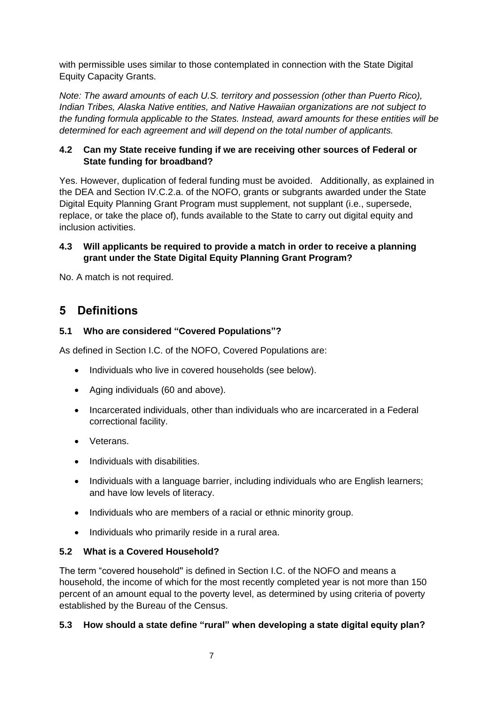with permissible uses similar to those contemplated in connection with the State Digital Equity Capacity Grants.

*Note: The award amounts of each U.S. territory and possession (other than Puerto Rico), Indian Tribes, Alaska Native entities, and Native Hawaiian organizations are not subject to the funding formula applicable to the States. Instead, award amounts for these entities will be determined for each agreement and will depend on the total number of applicants.* 

#### **4.2 Can my State receive funding if we are receiving other sources of Federal or State funding for broadband?**

Yes. However, duplication of federal funding must be avoided. Additionally, as explained in the DEA and Section IV.C.2.a. of the NOFO, grants or subgrants awarded under the State Digital Equity Planning Grant Program must supplement, not supplant (i.e., supersede, replace, or take the place of), funds available to the State to carry out digital equity and inclusion activities.

#### **4.3 Will applicants be required to provide a match in order to receive a planning grant under the State Digital Equity Planning Grant Program?**

No. A match is not required.

## <span id="page-6-0"></span>**5 Definitions**

### **5.1 Who are considered "Covered Populations"?**

As defined in Section I.C. of the NOFO, Covered Populations are:

- Individuals who live in covered households (see below).
- Aging individuals (60 and above).
- Incarcerated individuals, other than individuals who are incarcerated in a Federal correctional facility.
- Veterans.
- Individuals with disabilities.
- Individuals with a language barrier, including individuals who are English learners; and have low levels of literacy.
- Individuals who are members of a racial or ethnic minority group.
- Individuals who primarily reside in a rural area.

### **5.2 What is a Covered Household?**

The term "covered household'' is defined in Section I.C. of the NOFO and means a household, the income of which for the most recently completed year is not more than 150 percent of an amount equal to the poverty level, as determined by using criteria of poverty established by the Bureau of the Census.

### **5.3 How should a state define "rural" when developing a state digital equity plan?**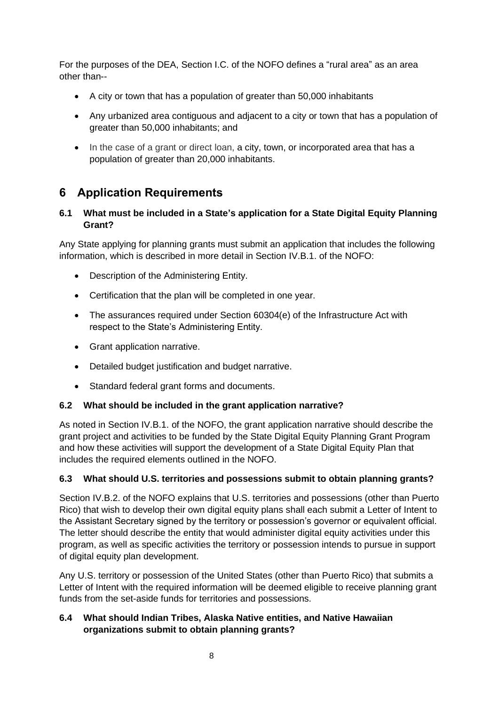For the purposes of the DEA, Section I.C. of the NOFO defines a "rural area" as an area other than--

- A city or town that has a population of greater than 50,000 inhabitants
- Any urbanized area contiguous and adjacent to a city or town that has a population of greater than 50,000 inhabitants; and
- In the case of a grant or direct loan, a city, town, or incorporated area that has a population of greater than 20,000 inhabitants.

## <span id="page-7-0"></span>**6 Application Requirements**

### **6.1 What must be included in a State's application for a State Digital Equity Planning Grant?**

Any State applying for planning grants must submit an application that includes the following information, which is described in more detail in Section IV.B.1. of the NOFO:

- Description of the Administering Entity.
- Certification that the plan will be completed in one year.
- The assurances required under Section 60304(e) of the Infrastructure Act with respect to the State's Administering Entity.
- Grant application narrative.
- Detailed budget justification and budget narrative.
- Standard federal grant forms and documents.

### **6.2 What should be included in the grant application narrative?**

As noted in Section IV.B.1. of the NOFO, the grant application narrative should describe the grant project and activities to be funded by the State Digital Equity Planning Grant Program and how these activities will support the development of a State Digital Equity Plan that includes the required elements outlined in the NOFO.

### **6.3 What should U.S. territories and possessions submit to obtain planning grants?**

Section IV.B.2. of the NOFO explains that U.S. territories and possessions (other than Puerto Rico) that wish to develop their own digital equity plans shall each submit a Letter of Intent to the Assistant Secretary signed by the territory or possession's governor or equivalent official. The letter should describe the entity that would administer digital equity activities under this program, as well as specific activities the territory or possession intends to pursue in support of digital equity plan development.

Any U.S. territory or possession of the United States (other than Puerto Rico) that submits a Letter of Intent with the required information will be deemed eligible to receive planning grant funds from the set-aside funds for territories and possessions.

### **6.4 What should Indian Tribes, Alaska Native entities, and Native Hawaiian organizations submit to obtain planning grants?**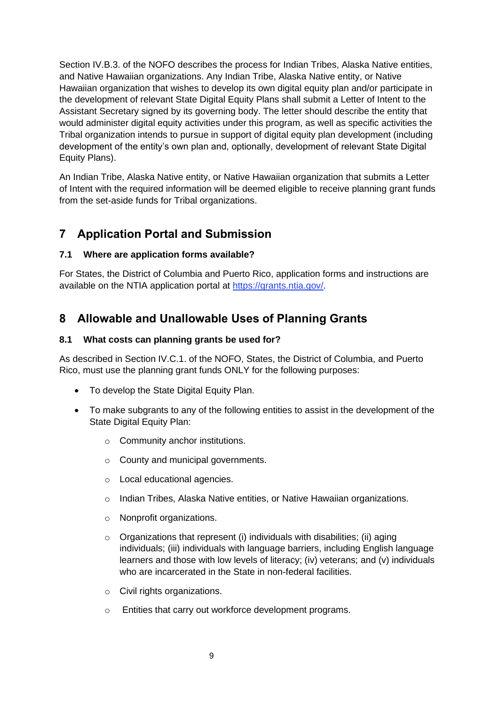Section IV.B.3. of the NOFO describes the process for Indian Tribes, Alaska Native entities, and Native Hawaiian organizations. Any Indian Tribe, Alaska Native entity, or Native Hawaiian organization that wishes to develop its own digital equity plan and/or participate in the development of relevant State Digital Equity Plans shall submit a Letter of Intent to the Assistant Secretary signed by its governing body. The letter should describe the entity that would administer digital equity activities under this program, as well as specific activities the Tribal organization intends to pursue in support of digital equity plan development (including development of the entity's own plan and, optionally, development of relevant State Digital Equity Plans).

An Indian Tribe, Alaska Native entity, or Native Hawaiian organization that submits a Letter of Intent with the required information will be deemed eligible to receive planning grant funds from the set-aside funds for Tribal organizations.

## <span id="page-8-0"></span>**7 Application Portal and Submission**

### **7.1 Where are application forms available?**

For States, the District of Columbia and Puerto Rico, application forms and instructions are available on the NTIA application portal at [https://grants.ntia.gov/.](https://grants.ntia.gov/)

## <span id="page-8-1"></span>**8 Allowable and Unallowable Uses of Planning Grants**

### **8.1 What costs can planning grants be used for?**

As described in Section IV.C.1. of the NOFO, States, the District of Columbia, and Puerto Rico, must use the planning grant funds ONLY for the following purposes:

- To develop the State Digital Equity Plan.
- To make subgrants to any of the following entities to assist in the development of the State Digital Equity Plan:
	- o Community anchor institutions.
	- o County and municipal governments.
	- o Local educational agencies.
	- o Indian Tribes, Alaska Native entities, or Native Hawaiian organizations.
	- o Nonprofit organizations.
	- $\circ$  Organizations that represent (i) individuals with disabilities; (ii) aging individuals; (iii) individuals with language barriers, including English language learners and those with low levels of literacy; (iv) veterans; and (v) individuals who are incarcerated in the State in non-federal facilities.
	- o Civil rights organizations.
	- o Entities that carry out workforce development programs.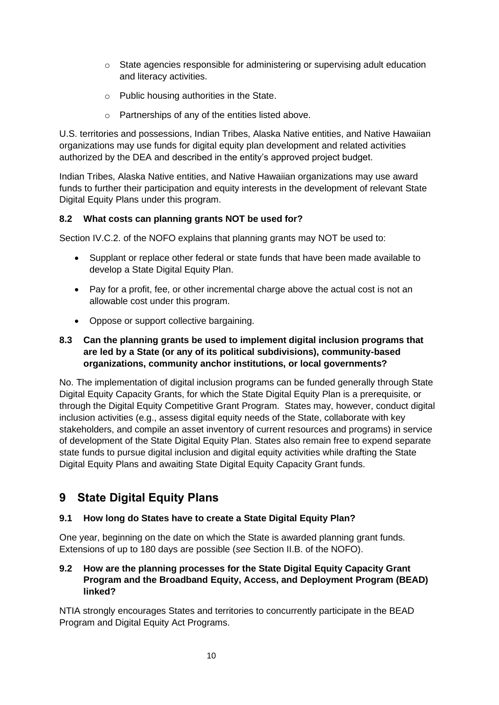- o State agencies responsible for administering or supervising adult education and literacy activities.
- o Public housing authorities in the State.
- o Partnerships of any of the entities listed above.

U.S. territories and possessions, Indian Tribes, Alaska Native entities, and Native Hawaiian organizations may use funds for digital equity plan development and related activities authorized by the DEA and described in the entity's approved project budget.

Indian Tribes, Alaska Native entities, and Native Hawaiian organizations may use award funds to further their participation and equity interests in the development of relevant State Digital Equity Plans under this program.

### **8.2 What costs can planning grants NOT be used for?**

Section IV.C.2. of the NOFO explains that planning grants may NOT be used to:

- Supplant or replace other federal or state funds that have been made available to develop a State Digital Equity Plan.
- Pay for a profit, fee, or other incremental charge above the actual cost is not an allowable cost under this program.
- Oppose or support collective bargaining.

#### **8.3 Can the planning grants be used to implement digital inclusion programs that are led by a State (or any of its political subdivisions), community-based organizations, community anchor institutions, or local governments?**

No. The implementation of digital inclusion programs can be funded generally through State Digital Equity Capacity Grants, for which the State Digital Equity Plan is a prerequisite, or through the Digital Equity Competitive Grant Program. States may, however, conduct digital inclusion activities (e.g., assess digital equity needs of the State, collaborate with key stakeholders, and compile an asset inventory of current resources and programs) in service of development of the State Digital Equity Plan. States also remain free to expend separate state funds to pursue digital inclusion and digital equity activities while drafting the State Digital Equity Plans and awaiting State Digital Equity Capacity Grant funds.

# <span id="page-9-0"></span>**9 State Digital Equity Plans**

### **9.1 How long do States have to create a State Digital Equity Plan?**

One year, beginning on the date on which the State is awarded planning grant funds. Extensions of up to 180 days are possible (*see* Section II.B. of the NOFO).

### **9.2 How are the planning processes for the State Digital Equity Capacity Grant Program and the Broadband Equity, Access, and Deployment Program (BEAD) linked?**

NTIA strongly encourages States and territories to concurrently participate in the BEAD Program and Digital Equity Act Programs.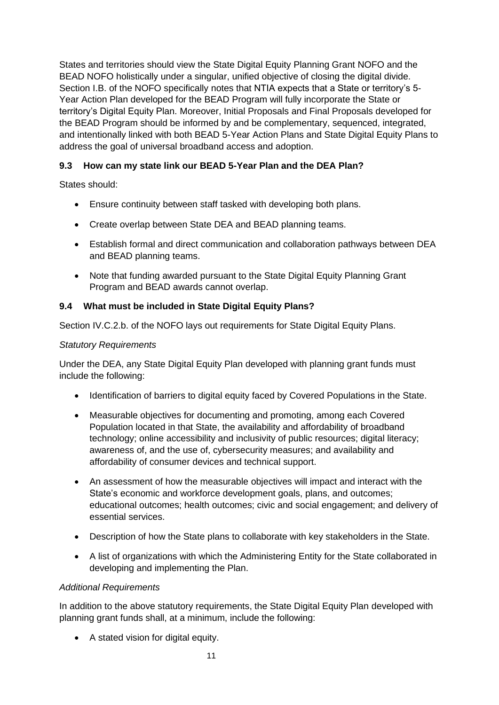States and territories should view the State Digital Equity Planning Grant NOFO and the BEAD NOFO holistically under a singular, unified objective of closing the digital divide. Section I.B. of the NOFO specifically notes that NTIA expects that a State or territory's 5- Year Action Plan developed for the BEAD Program will fully incorporate the State or territory's Digital Equity Plan. Moreover, Initial Proposals and Final Proposals developed for the BEAD Program should be informed by and be complementary, sequenced, integrated, and intentionally linked with both BEAD 5-Year Action Plans and State Digital Equity Plans to address the goal of universal broadband access and adoption.

### **9.3 How can my state link our BEAD 5-Year Plan and the DEA Plan?**

States should:

- Ensure continuity between staff tasked with developing both plans.
- Create overlap between State DEA and BEAD planning teams.
- Establish formal and direct communication and collaboration pathways between DEA and BEAD planning teams.
- Note that funding awarded pursuant to the State Digital Equity Planning Grant Program and BEAD awards cannot overlap.

### **9.4 What must be included in State Digital Equity Plans?**

Section IV.C.2.b. of the NOFO lays out requirements for State Digital Equity Plans.

#### *Statutory Requirements*

Under the DEA, any State Digital Equity Plan developed with planning grant funds must include the following:

- Identification of barriers to digital equity faced by Covered Populations in the State.
- Measurable objectives for documenting and promoting, among each Covered Population located in that State, the availability and affordability of broadband technology; online accessibility and inclusivity of public resources; digital literacy; awareness of, and the use of, cybersecurity measures; and availability and affordability of consumer devices and technical support.
- An assessment of how the measurable objectives will impact and interact with the State's economic and workforce development goals, plans, and outcomes; educational outcomes; health outcomes; civic and social engagement; and delivery of essential services.
- Description of how the State plans to collaborate with key stakeholders in the State.
- A list of organizations with which the Administering Entity for the State collaborated in developing and implementing the Plan.

#### *Additional Requirements*

In addition to the above statutory requirements, the State Digital Equity Plan developed with planning grant funds shall, at a minimum, include the following:

• A stated vision for digital equity.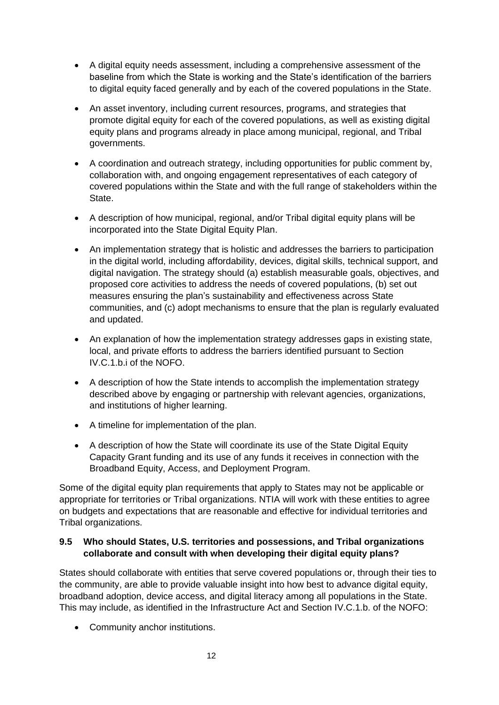- A digital equity needs assessment, including a comprehensive assessment of the baseline from which the State is working and the State's identification of the barriers to digital equity faced generally and by each of the covered populations in the State.
- An asset inventory, including current resources, programs, and strategies that promote digital equity for each of the covered populations, as well as existing digital equity plans and programs already in place among municipal, regional, and Tribal governments.
- A coordination and outreach strategy, including opportunities for public comment by, collaboration with, and ongoing engagement representatives of each category of covered populations within the State and with the full range of stakeholders within the State.
- A description of how municipal, regional, and/or Tribal digital equity plans will be incorporated into the State Digital Equity Plan.
- An implementation strategy that is holistic and addresses the barriers to participation in the digital world, including affordability, devices, digital skills, technical support, and digital navigation. The strategy should (a) establish measurable goals, objectives, and proposed core activities to address the needs of covered populations, (b) set out measures ensuring the plan's sustainability and effectiveness across State communities, and (c) adopt mechanisms to ensure that the plan is regularly evaluated and updated.
- An explanation of how the implementation strategy addresses gaps in existing state, local, and private efforts to address the barriers identified pursuant to Section IV.C.1.b.i of the NOFO.
- A description of how the State intends to accomplish the implementation strategy described above by engaging or partnership with relevant agencies, organizations, and institutions of higher learning.
- A timeline for implementation of the plan.
- A description of how the State will coordinate its use of the State Digital Equity Capacity Grant funding and its use of any funds it receives in connection with the Broadband Equity, Access, and Deployment Program.

Some of the digital equity plan requirements that apply to States may not be applicable or appropriate for territories or Tribal organizations. NTIA will work with these entities to agree on budgets and expectations that are reasonable and effective for individual territories and Tribal organizations.

### **9.5 Who should States, U.S. territories and possessions, and Tribal organizations collaborate and consult with when developing their digital equity plans?**

States should collaborate with entities that serve covered populations or, through their ties to the community, are able to provide valuable insight into how best to advance digital equity, broadband adoption, device access, and digital literacy among all populations in the State. This may include, as identified in the Infrastructure Act and Section IV.C.1.b. of the NOFO:

• Community anchor institutions.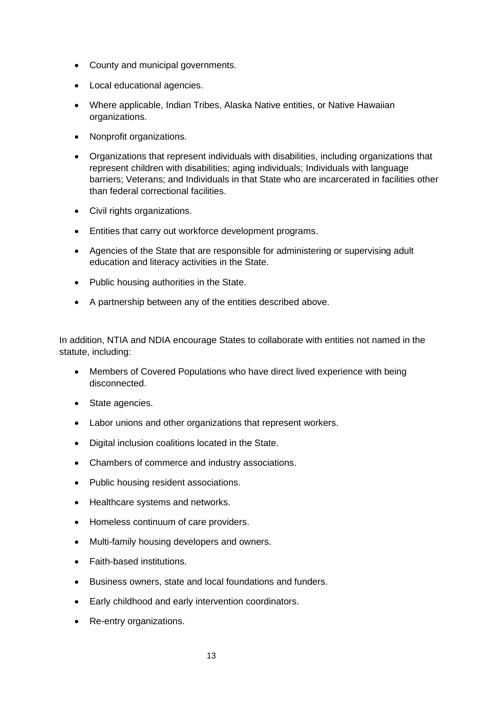- County and municipal governments.
- Local educational agencies.
- Where applicable, Indian Tribes, Alaska Native entities, or Native Hawaiian organizations.
- Nonprofit organizations.
- Organizations that represent individuals with disabilities, including organizations that represent children with disabilities; aging individuals; Individuals with language barriers; Veterans; and Individuals in that State who are incarcerated in facilities other than federal correctional facilities.
- Civil rights organizations.
- Entities that carry out workforce development programs.
- Agencies of the State that are responsible for administering or supervising adult education and literacy activities in the State.
- Public housing authorities in the State.
- A partnership between any of the entities described above.

In addition, NTIA and NDIA encourage States to collaborate with entities not named in the statute, including:

- Members of Covered Populations who have direct lived experience with being disconnected.
- State agencies.
- Labor unions and other organizations that represent workers.
- Digital inclusion coalitions located in the State.
- Chambers of commerce and industry associations.
- Public housing resident associations.
- Healthcare systems and networks.
- Homeless continuum of care providers.
- Multi-family housing developers and owners.
- Faith-based institutions.
- Business owners, state and local foundations and funders.
- Early childhood and early intervention coordinators.
- Re-entry organizations.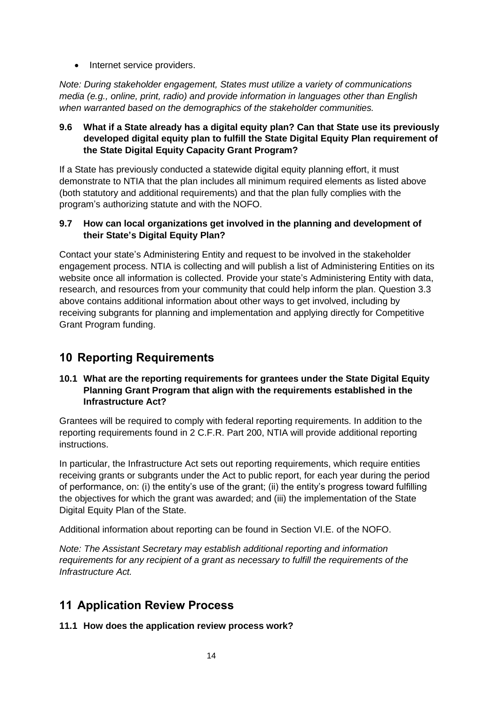• Internet service providers.

*Note: During stakeholder engagement, States must utilize a variety of communications media (e.g., online, print, radio) and provide information in languages other than English when warranted based on the demographics of the stakeholder communities.*

### **9.6 What if a State already has a digital equity plan? Can that State use its previously developed digital equity plan to fulfill the State Digital Equity Plan requirement of the State Digital Equity Capacity Grant Program?**

If a State has previously conducted a statewide digital equity planning effort, it must demonstrate to NTIA that the plan includes all minimum required elements as listed above (both statutory and additional requirements) and that the plan fully complies with the program's authorizing statute and with the NOFO.

#### **9.7 How can local organizations get involved in the planning and development of their State's Digital Equity Plan?**

Contact your state's Administering Entity and request to be involved in the stakeholder engagement process. NTIA is collecting and will publish a list of Administering Entities on its website once all information is collected. Provide your state's Administering Entity with data, research, and resources from your community that could help inform the plan. Question 3.3 above contains additional information about other ways to get involved, including by receiving subgrants for planning and implementation and applying directly for Competitive Grant Program funding.

# <span id="page-13-0"></span>**10 Reporting Requirements**

### **10.1 What are the reporting requirements for grantees under the State Digital Equity Planning Grant Program that align with the requirements established in the Infrastructure Act?**

Grantees will be required to comply with federal reporting requirements. In addition to the reporting requirements found in 2 C.F.R. Part 200, NTIA will provide additional reporting instructions.

In particular, the Infrastructure Act sets out reporting requirements, which require entities receiving grants or subgrants under the Act to public report, for each year during the period of performance, on: (i) the entity's use of the grant; (ii) the entity's progress toward fulfilling the objectives for which the grant was awarded; and (iii) the implementation of the State Digital Equity Plan of the State.

Additional information about reporting can be found in Section VI.E. of the NOFO.

*Note: The Assistant Secretary may establish additional reporting and information requirements for any recipient of a grant as necessary to fulfill the requirements of the Infrastructure Act.*

## <span id="page-13-1"></span>**11 Application Review Process**

### **11.1 How does the application review process work?**